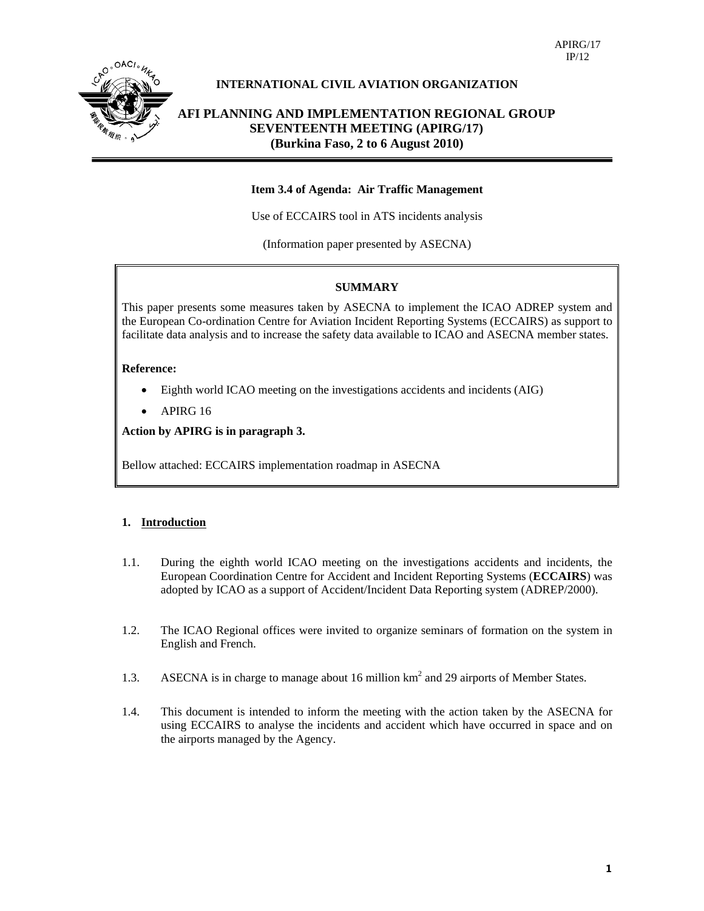

## **INTERNATIONAL CIVIL AVIATION ORGANIZATION**

**AFI PLANNING AND IMPLEMENTATION REGIONAL GROUP SEVENTEENTH MEETING (APIRG/17) (Burkina Faso, 2 to 6 August 2010)** 

#### **Item 3.4 of Agenda: Air Traffic Management**

Use of ECCAIRS tool in ATS incidents analysis

(Information paper presented by ASECNA)

#### **SUMMARY**

This paper presents some measures taken by ASECNA to implement the ICAO ADREP system and the European Co-ordination Centre for Aviation Incident Reporting Systems (ECCAIRS) as support to facilitate data analysis and to increase the safety data available to ICAO and ASECNA member states.

#### **Reference:**

- Eighth world ICAO meeting on the investigations accidents and incidents (AIG)
- APIRG 16

**Action by APIRG is in paragraph 3.** 

Bellow attached: ECCAIRS implementation roadmap in ASECNA

## **1. Introduction**

- 1.1. During the eighth world ICAO meeting on the investigations accidents and incidents, the European Coordination Centre for Accident and Incident Reporting Systems (**ECCAIRS**) was adopted by ICAO as a support of Accident/Incident Data Reporting system (ADREP/2000).
- 1.2. The ICAO Regional offices were invited to organize seminars of formation on the system in English and French.
- 1.3. ASECNA is in charge to manage about 16 million km<sup>2</sup> and 29 airports of Member States.
- 1.4. This document is intended to inform the meeting with the action taken by the ASECNA for using ECCAIRS to analyse the incidents and accident which have occurred in space and on the airports managed by the Agency.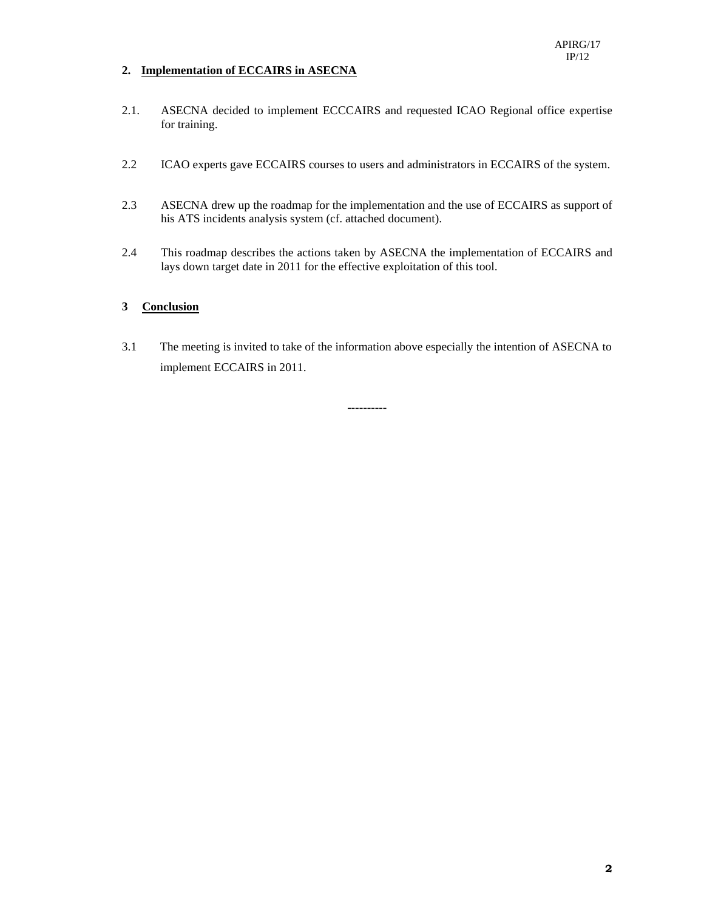## **2. Implementation of ECCAIRS in ASECNA**

- 2.1. ASECNA decided to implement ECCCAIRS and requested ICAO Regional office expertise for training.
- 2.2 ICAO experts gave ECCAIRS courses to users and administrators in ECCAIRS of the system.
- 2.3 ASECNA drew up the roadmap for the implementation and the use of ECCAIRS as support of his ATS incidents analysis system (cf. attached document).
- 2.4 This roadmap describes the actions taken by ASECNA the implementation of ECCAIRS and lays down target date in 2011 for the effective exploitation of this tool.

#### **3 Conclusion**

3.1 The meeting is invited to take of the information above especially the intention of ASECNA to implement ECCAIRS in 2011.

----------